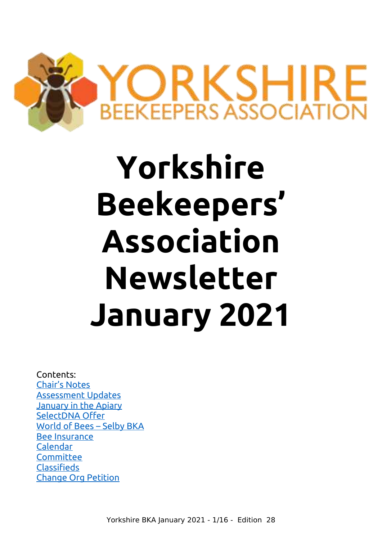

# **Yorkshire Beekeepers' Association Newsletter January 2021**

Contents: [Chair's Notes](#page-1-0) [Assessment Updates](#page-2-0) [January in the Apiary](#page-3-0) [SelectDNA Offer](#page-6-1) [World of Bees – Selby BKA](#page-6-0) [Bee Insurance](#page-9-0) Calendar **[Committee](#page-11-1) [Classifieds](#page-11-0)** [Change Org Petition](#page-12-0)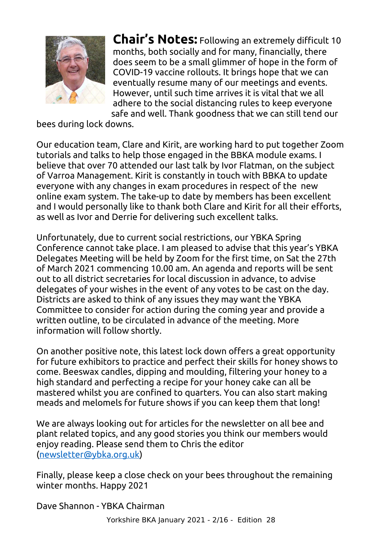

<span id="page-1-0"></span>**Chair's Notes:** Following an extremely difficult 10 months, both socially and for many, financially, there does seem to be a small glimmer of hope in the form of COVID-19 vaccine rollouts. It brings hope that we can eventually resume many of our meetings and events. However, until such time arrives it is vital that we all adhere to the social distancing rules to keep everyone safe and well. Thank goodness that we can still tend our

bees during lock downs.

Our education team, Clare and Kirit, are working hard to put together Zoom tutorials and talks to help those engaged in the BBKA module exams. I believe that over 70 attended our last talk by Ivor Flatman, on the subject of Varroa Management. Kirit is constantly in touch with BBKA to update everyone with any changes in exam procedures in respect of the new online exam system. The take-up to date by members has been excellent and I would personally like to thank both Clare and Kirit for all their efforts, as well as Ivor and Derrie for delivering such excellent talks.

Unfortunately, due to current social restrictions, our YBKA Spring Conference cannot take place. I am pleased to advise that this year's YBKA Delegates Meeting will be held by Zoom for the first time, on Sat the 27th of March 2021 commencing 10.00 am. An agenda and reports will be sent out to all district secretaries for local discussion in advance, to advise delegates of your wishes in the event of any votes to be cast on the day. Districts are asked to think of any issues they may want the YBKA Committee to consider for action during the coming year and provide a written outline, to be circulated in advance of the meeting. More information will follow shortly.

On another positive note, this latest lock down offers a great opportunity for future exhibitors to practice and perfect their skills for honey shows to come. Beeswax candles, dipping and moulding, filtering your honey to a high standard and perfecting a recipe for your honey cake can all be mastered whilst you are confined to quarters. You can also start making meads and melomels for future shows if you can keep them that long!

We are always looking out for articles for the newsletter on all bee and plant related topics, and any good stories you think our members would enjoy reading. Please send them to Chris the editor [\(newsletter@ybka.org.uk\)](mailto:newsletter@ybka.org.uk)

Finally, please keep a close check on your bees throughout the remaining winter months. Happy 2021

Dave Shannon - YBKA Chairman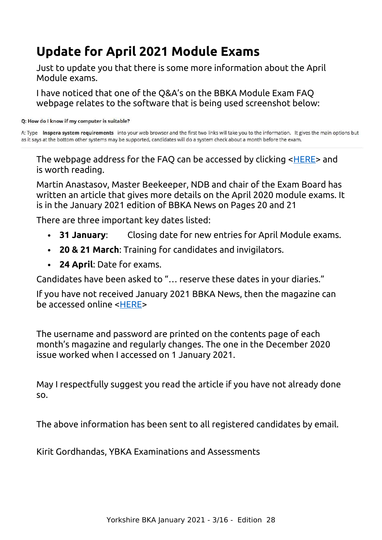# <span id="page-2-0"></span>**Update for April 2021 Module Exams**

Just to update you that there is some more information about the April Module exams.

I have noticed that one of the Q&A's on the BBKA Module Exam FAQ webpage relates to the software that is being used screenshot below:

#### Q: How do I know if my computer is suitable?

A: Type Inspera system requirements into your web browser and the first two links will take you to the information. It gives the main options but as it says at the bottom other systems may be supported, candidates will do a system check about a month before the exam.

The webpage address for the FAQ can be accessed by clicking [<HERE](https://www.bbka.org.uk/module-exam-faq)> and is worth reading.

Martin Anastasov, Master Beekeeper, NDB and chair of the Exam Board has written an article that gives more details on the April 2020 module exams. It is in the January 2021 edition of BBKA News on Pages 20 and 21

There are three important key dates listed:

- **31 January**: Closing date for new entries for April Module exams.
- **20 & 21 March**: Training for candidates and invigilators.
- **24 April**: Date for exams.

Candidates have been asked to "… reserve these dates in your diaries."

If you have not received January 2021 BBKA News, then the magazine can be accessed online <[HERE](https://bbkanews.com/issues)>

The username and password are printed on the contents page of each month's magazine and regularly changes. The one in the December 2020 issue worked when I accessed on 1 January 2021.

May I respectfully suggest you read the article if you have not already done so.

The above information has been sent to all registered candidates by email.

Kirit Gordhandas, YBKA Examinations and Assessments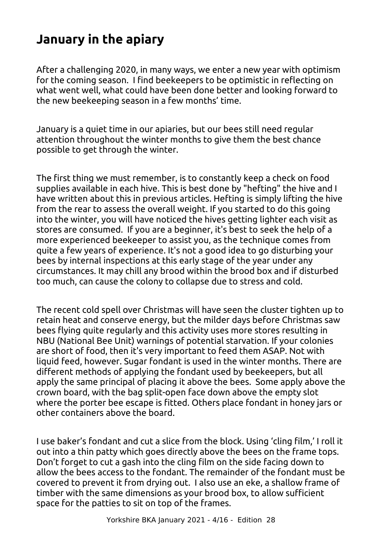# <span id="page-3-0"></span>**January in the apiary**

After a challenging 2020, in many ways, we enter a new year with optimism for the coming season. I find beekeepers to be optimistic in reflecting on what went well, what could have been done better and looking forward to the new beekeeping season in a few months' time.

January is a quiet time in our apiaries, but our bees still need regular attention throughout the winter months to give them the best chance possible to get through the winter.

The first thing we must remember, is to constantly keep a check on food supplies available in each hive. This is best done by "hefting" the hive and I have written about this in previous articles. Hefting is simply lifting the hive from the rear to assess the overall weight. If you started to do this going into the winter, you will have noticed the hives getting lighter each visit as stores are consumed. If you are a beginner, it's best to seek the help of a more experienced beekeeper to assist you, as the technique comes from quite a few years of experience. It's not a good idea to go disturbing your bees by internal inspections at this early stage of the year under any circumstances. It may chill any brood within the brood box and if disturbed too much, can cause the colony to collapse due to stress and cold.

The recent cold spell over Christmas will have seen the cluster tighten up to retain heat and conserve energy, but the milder days before Christmas saw bees flying quite regularly and this activity uses more stores resulting in NBU (National Bee Unit) warnings of potential starvation. If your colonies are short of food, then it's very important to feed them ASAP. Not with liquid feed, however. Sugar fondant is used in the winter months. There are different methods of applying the fondant used by beekeepers, but all apply the same principal of placing it above the bees. Some apply above the crown board, with the bag split-open face down above the empty slot where the porter bee escape is fitted. Others place fondant in honey jars or other containers above the board.

I use baker's fondant and cut a slice from the block. Using 'cling film,' I roll it out into a thin patty which goes directly above the bees on the frame tops. Don't forget to cut a gash into the cling film on the side facing down to allow the bees access to the fondant. The remainder of the fondant must be covered to prevent it from drying out. I also use an eke, a shallow frame of timber with the same dimensions as your brood box, to allow sufficient space for the patties to sit on top of the frames.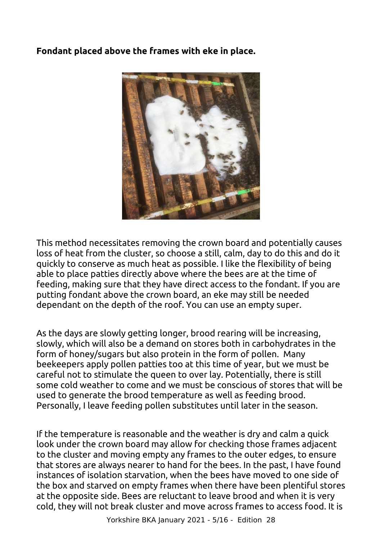# **Fondant placed above the frames with eke in place.**



This method necessitates removing the crown board and potentially causes loss of heat from the cluster, so choose a still, calm, day to do this and do it quickly to conserve as much heat as possible. I like the flexibility of being able to place patties directly above where the bees are at the time of feeding, making sure that they have direct access to the fondant. If you are putting fondant above the crown board, an eke may still be needed dependant on the depth of the roof. You can use an empty super.

As the days are slowly getting longer, brood rearing will be increasing, slowly, which will also be a demand on stores both in carbohydrates in the form of honey/sugars but also protein in the form of pollen. Many beekeepers apply pollen patties too at this time of year, but we must be careful not to stimulate the queen to over lay. Potentially, there is still some cold weather to come and we must be conscious of stores that will be used to generate the brood temperature as well as feeding brood. Personally, I leave feeding pollen substitutes until later in the season.

If the temperature is reasonable and the weather is dry and calm a quick look under the crown board may allow for checking those frames adjacent to the cluster and moving empty any frames to the outer edges, to ensure that stores are always nearer to hand for the bees. In the past, I have found instances of isolation starvation, when the bees have moved to one side of the box and starved on empty frames when there have been plentiful stores at the opposite side. Bees are reluctant to leave brood and when it is very cold, they will not break cluster and move across frames to access food. It is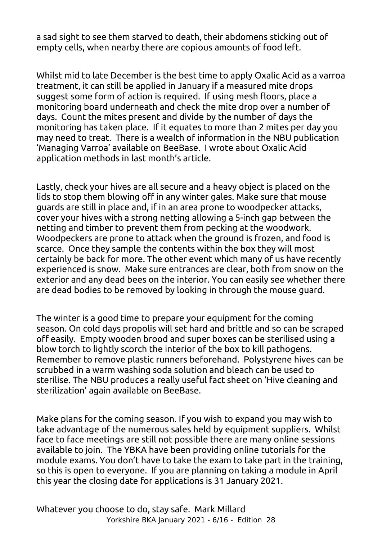a sad sight to see them starved to death, their abdomens sticking out of empty cells, when nearby there are copious amounts of food left.

Whilst mid to late December is the best time to apply Oxalic Acid as a varroa treatment, it can still be applied in January if a measured mite drops suggest some form of action is required. If using mesh floors, place a monitoring board underneath and check the mite drop over a number of days. Count the mites present and divide by the number of days the monitoring has taken place. If it equates to more than 2 mites per day you may need to treat. There is a wealth of information in the NBU publication 'Managing Varroa' available on BeeBase. I wrote about Oxalic Acid application methods in last month's article.

Lastly, check your hives are all secure and a heavy object is placed on the lids to stop them blowing off in any winter gales. Make sure that mouse guards are still in place and, if in an area prone to woodpecker attacks, cover your hives with a strong netting allowing a 5-inch gap between the netting and timber to prevent them from pecking at the woodwork. Woodpeckers are prone to attack when the ground is frozen, and food is scarce. Once they sample the contents within the box they will most certainly be back for more. The other event which many of us have recently experienced is snow. Make sure entrances are clear, both from snow on the exterior and any dead bees on the interior. You can easily see whether there are dead bodies to be removed by looking in through the mouse guard.

The winter is a good time to prepare your equipment for the coming season. On cold days propolis will set hard and brittle and so can be scraped off easily. Empty wooden brood and super boxes can be sterilised using a blow torch to lightly scorch the interior of the box to kill pathogens. Remember to remove plastic runners beforehand. Polystyrene hives can be scrubbed in a warm washing soda solution and bleach can be used to sterilise. The NBU produces a really useful fact sheet on 'Hive cleaning and sterilization' again available on BeeBase.

Make plans for the coming season. If you wish to expand you may wish to take advantage of the numerous sales held by equipment suppliers. Whilst face to face meetings are still not possible there are many online sessions available to join. The YBKA have been providing online tutorials for the module exams. You don't have to take the exam to take part in the training, so this is open to everyone. If you are planning on taking a module in April this year the closing date for applications is 31 January 2021.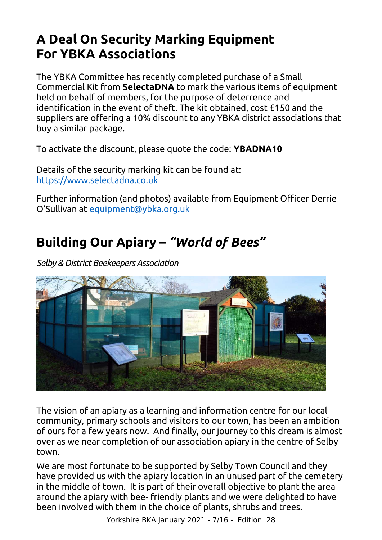# <span id="page-6-1"></span>**A Deal On Security Marking Equipment For YBKA Associations**

The YBKA Committee has recently completed purchase of a Small Commercial Kit from **SelectaDNA** to mark the various items of equipment held on behalf of members, for the purpose of deterrence and identification in the event of theft. The kit obtained, cost £150 and the suppliers are offering a 10% discount to any YBKA district associations that buy a similar package.

To activate the discount, please quote the code: **YBADNA10**

Details of the security marking kit can be found at: [https://www.selectadna.co.uk](https://www.selectadna.co.uk/)

Further information (and photos) available from Equipment Officer Derrie O'Sullivan at [equipment@ybka.org.uk](mailto:equipment@ybka.org.uk)

# <span id="page-6-0"></span>**Building Our Apiary –** *"World of Bees"*

*Selby & District Beekeepers Association*



The vision of an apiary as a learning and information centre for our local community, primary schools and visitors to our town, has been an ambition of ours for a few years now. And finally, our journey to this dream is almost over as we near completion of our association apiary in the centre of Selby town.

We are most fortunate to be supported by Selby Town Council and they have provided us with the apiary location in an unused part of the cemetery in the middle of town. It is part of their overall objective to plant the area around the apiary with bee- friendly plants and we were delighted to have been involved with them in the choice of plants, shrubs and trees.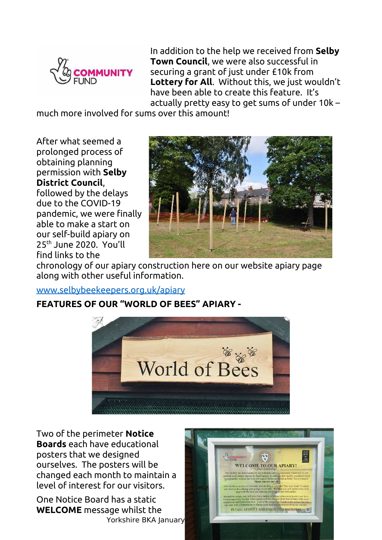

In addition to the help we received from **Selby Town Council**, we were also successful in securing a grant of just under £10k from **Lottery for All**. Without this, we just wouldn't have been able to create this feature. It's actually pretty easy to get sums of under 10k –

much more involved for sums over this amount!

After what seemed a prolonged process of obtaining planning permission with **Selby District Council**, followed by the delays due to the COVID-19

pandemic, we were finally able to make a start on our self-build apiary on 25th June 2020. You'll find links to the



chronology of our apiary construction here on our website apiary page along with other useful information.

### [www.selbybeekeepers.org.uk/apiary](https://www.selbybeekeepers.org.uk/apiary)

## **FEATURES OF OUR "WORLD OF BEES" APIARY -**



Two of the perimeter **Notice Boards** each have educational posters that we designed ourselves. The posters will be changed each month to maintain a level of interest for our visitors.

One Notice Board has a static **WELCOME** message whilst the Yorkshire BKA January

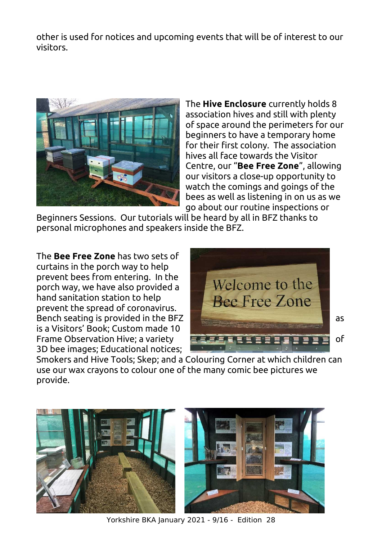other is used for notices and upcoming events that will be of interest to our visitors.



The **Hive Enclosure** currently holds 8 association hives and still with plenty of space around the perimeters for our beginners to have a temporary home for their first colony. The association hives all face towards the Visitor Centre, our "**Bee Free Zone**", allowing our visitors a close-up opportunity to watch the comings and goings of the bees as well as listening in on us as we go about our routine inspections or

Beginners Sessions. Our tutorials will be heard by all in BFZ thanks to personal microphones and speakers inside the BFZ.

The **Bee Free Zone** has two sets of curtains in the porch way to help prevent bees from entering. In the porch way, we have also provided a hand sanitation station to help prevent the spread of coronavirus. is a Visitors' Book; Custom made 10 3D bee images; Educational notices;



Smokers and Hive Tools; Skep; and a Colouring Corner at which children can use our wax crayons to colour one of the many comic bee pictures we provide.



Yorkshire BKA January 2021 - 9/16 - Edition 28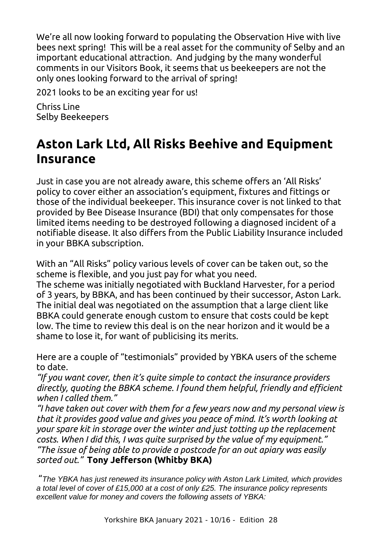We're all now looking forward to populating the Observation Hive with live bees next spring! This will be a real asset for the community of Selby and an important educational attraction. And judging by the many wonderful comments in our Visitors Book, it seems that us beekeepers are not the only ones looking forward to the arrival of spring!

2021 looks to be an exciting year for us!

Chriss Line Selby Beekeepers

# <span id="page-9-0"></span>**Aston Lark Ltd, All Risks Beehive and Equipment Insurance**

Just in case you are not already aware, this scheme offers an 'All Risks' policy to cover either an association's equipment, fixtures and fittings or those of the individual beekeeper. This insurance cover is not linked to that provided by Bee Disease Insurance (BDI) that only compensates for those limited items needing to be destroyed following a diagnosed incident of a notifiable disease. It also differs from the Public Liability Insurance included in your BBKA subscription.

With an "All Risks" policy various levels of cover can be taken out, so the scheme is flexible, and you just pay for what you need.

The scheme was initially negotiated with Buckland Harvester, for a period of 3 years, by BBKA, and has been continued by their successor, Aston Lark. The initial deal was negotiated on the assumption that a large client like BBKA could generate enough custom to ensure that costs could be kept low. The time to review this deal is on the near horizon and it would be a shame to lose it, for want of publicising its merits.

Here are a couple of "testimonials" provided by YBKA users of the scheme to date.

*"If you want cover, then it's quite simple to contact the insurance providers directly, quoting the BBKA scheme. I found them helpful, friendly and efficient when I called them."*

*"I have taken out cover with them for a few years now and my personal view is that it provides good value and gives you peace of mind. It's worth looking at your spare kit in storage over the winter and just totting up the replacement costs. When I did this, I was quite surprised by the value of my equipment." "The issue of being able to provide a postcode for an out apiary was easily sorted out."* **Tony Jefferson (Whitby BKA)**

 "*The YBKA has just renewed its insurance policy with Aston Lark Limited, which provides a total level of cover of £15,000 at a cost of only £25. The insurance policy represents excellent value for money and covers the following assets of YBKA:*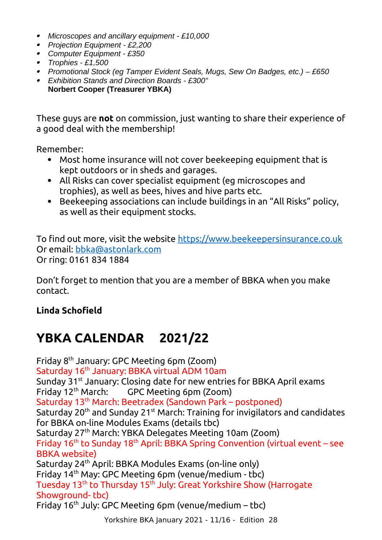- *Microscopes and ancillary equipment £10,000*
- *Projection Equipment £2,200*
- *Computer Equipment £350*
- *Trophies £1,500*
- *Promotional Stock (eg Tamper Evident Seals, Mugs, Sew On Badges, etc.) £650*
- *Exhibition Stands and Direction Boards £300"*  **Norbert Cooper (Treasurer YBKA)**

These guys are **not** on commission, just wanting to share their experience of a good deal with the membership!

Remember:

- Most home insurance will not cover beekeeping equipment that is kept outdoors or in sheds and garages.
- All Risks can cover specialist equipment (eg microscopes and trophies), as well as bees, hives and hive parts etc.
- Beekeeping associations can include buildings in an "All Risks" policy, as well as their equipment stocks.

To find out more, visit the website [https://www.beekeepersinsurance.co.uk](https://www.beekeepersinsurance.co.uk/) Or email: [bbka@astonlark.com](mailto:bbka@astonlark.com) Or ring: 0161 834 1884

Don't forget to mention that you are a member of BBKA when you make contact.

# **Linda Schofield**

# **YBKA CALENDAR 2021/22**

Friday 8th January: GPC Meeting 6pm (Zoom) Saturday 16<sup>th</sup> January: BBKA virtual ADM 10am Sunday 31<sup>st</sup> January: Closing date for new entries for BBKA April exams Friday 12th March: GPC Meeting 6pm (Zoom) Saturday 13<sup>th</sup> March: Beetradex (Sandown Park – postponed) Saturday 20<sup>th</sup> and Sunday 21<sup>st</sup> March: Training for invigilators and candidates for BBKA on-line Modules Exams (details tbc) Saturday 27th March: YBKA Delegates Meeting 10am (Zoom) Friday 16<sup>th</sup> to Sunday 18<sup>th</sup> April: BBKA Spring Convention (virtual event – see BBKA website) Saturday 24th April: BBKA Modules Exams (on-line only) Friday 14th May: GPC Meeting 6pm (venue/medium - tbc) Tuesday 13<sup>th</sup> to Thursday 15<sup>th</sup> July: Great Yorkshire Show (Harrogate Showground- tbc) Friday  $16<sup>th</sup>$  July: GPC Meeting 6pm (venue/medium – tbc)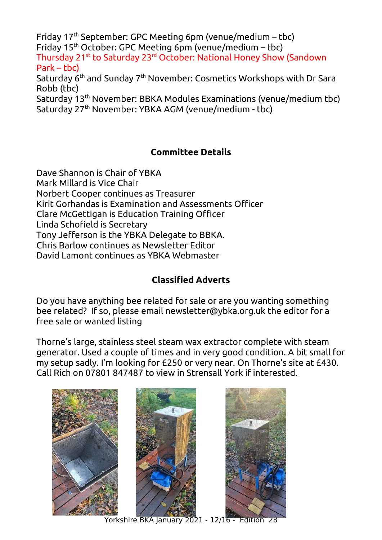Friday  $17<sup>th</sup>$  September: GPC Meeting 6pm (venue/medium – tbc) Friday 15th October: GPC Meeting 6pm (venue/medium – tbc) Thursday 21<sup>st</sup> to Saturday 23<sup>rd</sup> October: National Honey Show (Sandown  $Park - thc$ Saturday 6th and Sunday 7th November: Cosmetics Workshops with Dr Sara Robb (tbc) Saturday 13th November: BBKA Modules Examinations (venue/medium tbc) Saturday 27th November: YBKA AGM (venue/medium - tbc)

# <span id="page-11-1"></span>**Committee Details**

Dave Shannon is Chair of YBKA Mark Millard is Vice Chair Norbert Cooper continues as Treasurer Kirit Gorhandas is Examination and Assessments Officer Clare McGettigan is Education Training Officer Linda Schofield is Secretary Tony Jefferson is the YBKA Delegate to BBKA. Chris Barlow continues as Newsletter Editor David Lamont continues as YBKA Webmaster

## <span id="page-11-0"></span>**Classified Adverts**

Do you have anything bee related for sale or are you wanting something bee related? If so, please email newsletter@ybka.org.uk the editor for a free sale or wanted listing

Thorne's large, stainless steel steam wax extractor complete with steam generator. Used a couple of times and in very good condition. A bit small for my setup sadly. I'm looking for £250 or very near. On Thorne's site at £430. Call Rich on 07801 847487 to view in Strensall York if interested.



Yorkshire BKA January 2021 - 12/16 - Edition 28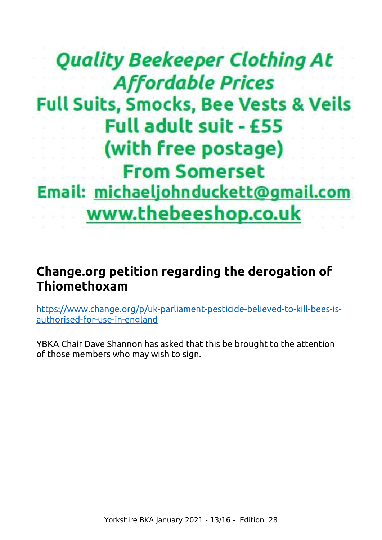# **Quality Beekeeper Clothing At Affordable Prices Full Suits, Smocks, Bee Vests & Veils Full adult suit - £55** (with free postage) **From Somerset** Email: michaeljohnduckett@gmail.com www.thebeeshop.co.uk

# <span id="page-12-0"></span>**Change.org petition regarding the derogation of Thiomethoxam**

[https://www.change.org/p/uk-parliament-pesticide-believed-to-kill-bees-is](https://www.change.org/p/uk-parliament-pesticide-believed-to-kill-bees-is-authorised-for-use-in-england)[authorised-for-use-in-england](https://www.change.org/p/uk-parliament-pesticide-believed-to-kill-bees-is-authorised-for-use-in-england)

YBKA Chair Dave Shannon has asked that this be brought to the attention of those members who may wish to sign.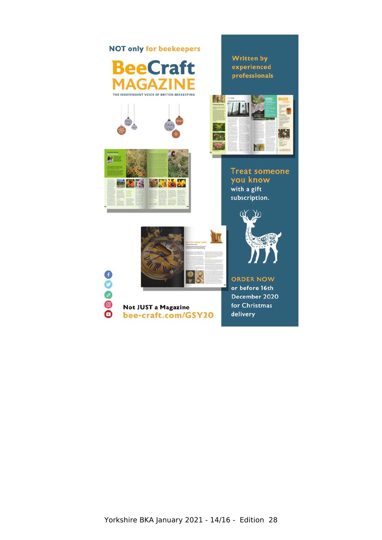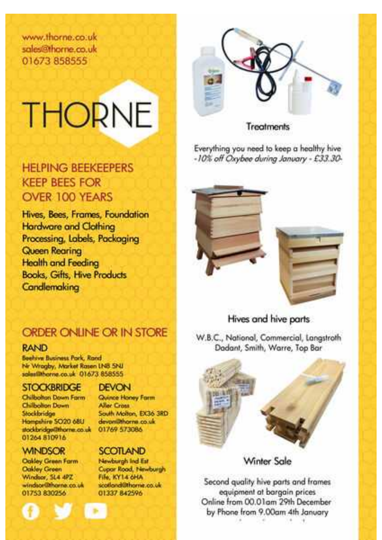www.thorne.co.uk sales@thorne.co.uk 01673 858555

# THORNE

# **HEI PING BEEKEEPERS KEEP BEES FOR** OVER 100 YEARS

Hives, Bees, Frames, Foundation **Hardware and Clothing** Processing, Labels, Packaging Queen Rearing **Health and Feeding** Books, Gifts, Hive Products **Condlemaking** 

# ORDER ONLINE OR IN STORE

### **RAND**

**Beehive Business Park, Rand** Nr Wragby, Market Rasen LNB SNJ salas@barne.co.uk 01673.858555

### **STOCKBRIDGE**

Chilberton Down Form Chilbolton Down Stockbridge Hampshire SO20 68U stackbridge@tharne.co.uk 01264 810916

## **WINDSOR**

Ookley Green Farm **Oakley Green** Windsor, SL4 4PZ windsor@thorne.co.uk 01753 830256

### **DEVON**

Quince Honey Form **Aller Cross** South Molton, EX36 3RD devomithorne co.uk 01769 573086

### **SCOTLAND**

**Newburgh Ind Est Cupar Road, Newburgh** File: KY14 OHA scotland@thome.co.uk 01337 842596



### **Treatments**

Everything you need to keep a healthy hive -10% off Oxybee during January - £33.30-





# Hives and hive parts.

W.B.C., National, Commercial, Langstroth Dadant, Smith, Warre, Top Bar



Winter Sale

Second quality hive parts and frames equipment at bargain prices Online from 00.01am 29th December by Phone from 9.00am 4th January Yorkshire BKA January 2021 - 15/16 - 15/16 - 15/16 - 15/16 - 15/16 - 15/16 - 15/16 - 15/16 - 15/16 - 15/16 - 1